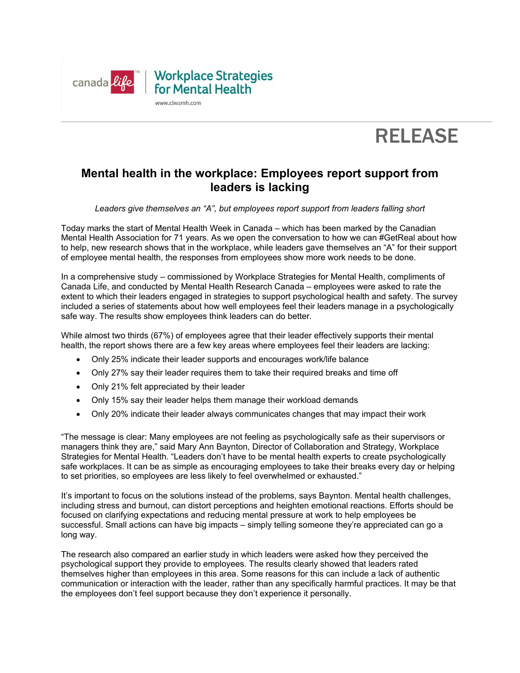



# **Mental health in the workplace: Employees report support from leaders is lacking**

## *Leaders give themselves an "A", but employees report support from leaders falling short*

Today marks the start of Mental Health Week in Canada – which has been marked by the Canadian Mental Health Association for 71 years. As we open the conversation to how we can #GetReal about how to help, new research shows that in the workplace, while leaders gave themselves an "A" for their support of employee mental health, the responses from employees show more work needs to be done.

In a comprehensive study – commissioned by Workplace Strategies for Mental Health, compliments of Canada Life, and conducted by Mental Health Research Canada – employees were asked to rate the extent to which their leaders engaged in strategies to support psychological health and safety. The survey included a series of statements about how well employees feel their leaders manage in a psychologically safe way. The results show employees think leaders can do better.

While almost two thirds (67%) of employees agree that their leader effectively supports their mental health, the report shows there are a few key areas where employees feel their leaders are lacking:

- Only 25% indicate their leader supports and encourages work/life balance
- Only 27% say their leader requires them to take their required breaks and time off
- Only 21% felt appreciated by their leader
- Only 15% say their leader helps them manage their workload demands
- Only 20% indicate their leader always communicates changes that may impact their work

"The message is clear: Many employees are not feeling as psychologically safe as their supervisors or managers think they are," said Mary Ann Baynton, Director of Collaboration and Strategy, Workplace Strategies for Mental Health. "Leaders don't have to be mental health experts to create psychologically safe workplaces. It can be as simple as encouraging employees to take their breaks every day or helping to set priorities, so employees are less likely to feel overwhelmed or exhausted."

It's important to focus on the solutions instead of the problems, says Baynton. Mental health challenges, including stress and burnout, can distort perceptions and heighten emotional reactions. Efforts should be focused on clarifying expectations and reducing mental pressure at work to help employees be successful. Small actions can have big impacts – simply telling someone they're appreciated can go a long way.

The research also compared an earlier study in which leaders were asked how they perceived the psychological support they provide to employees. The results clearly showed that leaders rated themselves higher than employees in this area. Some reasons for this can include a lack of authentic communication or interaction with the leader, rather than any specifically harmful practices. It may be that the employees don't feel support because they don't experience it personally.